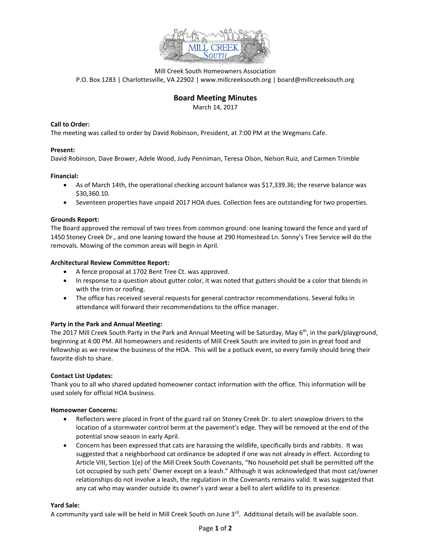

Mill Creek South Homeowners Association P.O. Box 1283 | Charlottesville, VA 22902 | www.millcreeksouth.org | board@millcreeksouth.org

# **Board Meeting Minutes**

March 14, 2017

# **Call to Order:**

The meeting was called to order by David Robinson, President, at 7:00 PM at the Wegmans Cafe.

## **Present:**

David Robinson, Dave Brower, Adele Wood, Judy Penniman, Teresa Olson, Nelson Ruiz, and Carmen Trimble

#### **Financial:**

- As of March 14th, the operational checking account balance was \$17,339.36; the reserve balance was \$30,360.10.
- Seventeen properties have unpaid 2017 HOA dues. Collection fees are outstanding for two properties.

## **Grounds Report:**

The Board approved the removal of two trees from common ground: one leaning toward the fence and yard of 1450 Stoney Creek Dr., and one leaning toward the house at 290 Homestead Ln. Sonny's Tree Service will do the removals. Mowing of the common areas will begin in April.

#### **Architectural Review Committee Report:**

- A fence proposal at 1702 Bent Tree Ct. was approved.
- In response to a question about gutter color, it was noted that gutters should be a color that blends in with the trim or roofing.
- The office has received several requests for general contractor recommendations. Several folks in attendance will forward their recommendations to the office manager.

#### **Party in the Park and Annual Meeting:**

The 2017 Mill Creek South Party in the Park and Annual Meeting will be Saturday, May  $6<sup>th</sup>$ , in the park/playground, beginning at 4:00 PM. All homeowners and residents of Mill Creek South are invited to join in great food and fellowship as we review the business of the HOA. This will be a potluck event, so every family should bring their favorite dish to share.

#### **Contact List Updates:**

Thank you to all who shared updated homeowner contact information with the office. This information will be used solely for official HOA business.

#### **Homeowner Concerns:**

- Reflectors were placed in front of the guard rail on Stoney Creek Dr. to alert snowplow drivers to the location of a stormwater control berm at the pavement's edge. They will be removed at the end of the potential snow season in early April.
- Concern has been expressed that cats are harassing the wildlife, specifically birds and rabbits. It was suggested that a neighborhood cat ordinance be adopted if one was not already in effect. According to Article VIII, Section 1(e) of the Mill Creek South Covenants, "No household pet shall be permitted off the Lot occupied by such pets' Owner except on a leash." Although it was acknowledged that most cat/owner relationships do not involve a leash, the regulation in the Covenants remains valid. It was suggested that any cat who may wander outside its owner's yard wear a bell to alert wildlife to its presence.

#### **Yard Sale:**

A community yard sale will be held in Mill Creek South on June 3<sup>rd</sup>. Additional details will be available soon.